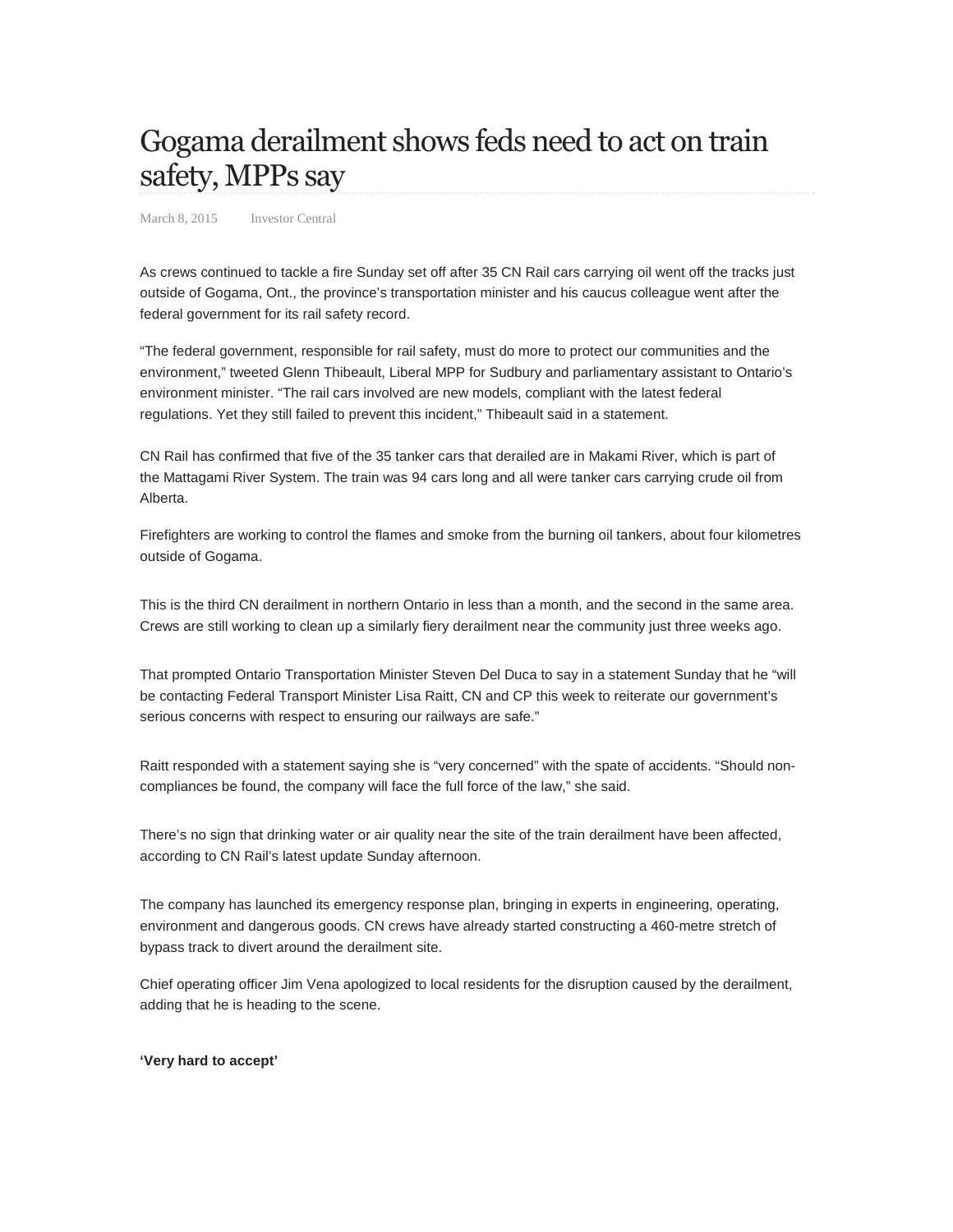## Gogama derailment shows feds need to act on train safety, MPPs say

March 8, 2015 Investor Central

As crews continued to tackle a fire Sunday set off after 35 CN Rail cars carrying oil went off the tracks just outside of Gogama, Ont., the province's transportation minister and his caucus colleague went after the federal government for its rail safety record.

"The federal government, responsible for rail safety, must do more to protect our communities and the environment," tweeted Glenn Thibeault, Liberal MPP for Sudbury and parliamentary assistant to Ontario's environment minister. "The rail cars involved are new models, compliant with the latest federal regulations. Yet they still failed to prevent this incident," Thibeault said in a statement.

CN Rail has confirmed that five of the 35 tanker cars that derailed are in Makami River, which is part of the Mattagami River System. The train was 94 cars long and all were tanker cars carrying crude oil from Alberta.

Firefighters are working to control the flames and smoke from the burning oil tankers, about four kilometres outside of Gogama.

This is the third CN derailment in northern Ontario in less than a month, and the second in the same area. Crews are still working to clean up a similarly fiery derailment near the community just three weeks ago.

That prompted Ontario Transportation Minister Steven Del Duca to say in a statement Sunday that he "will be contacting Federal Transport Minister Lisa Raitt, CN and CP this week to reiterate our government's serious concerns with respect to ensuring our railways are safe."

Raitt responded with a statement saying she is "very concerned" with the spate of accidents. "Should noncompliances be found, the company will face the full force of the law," she said.

There's no sign that drinking water or air quality near the site of the train derailment have been affected, according to CN Rail's latest update Sunday afternoon.

The company has launched its emergency response plan, bringing in experts in engineering, operating, environment and dangerous goods. CN crews have already started constructing a 460-metre stretch of bypass track to divert around the derailment site.

Chief operating officer Jim Vena apologized to local residents for the disruption caused by the derailment, adding that he is heading to the scene.

## **'Very hard to accept'**